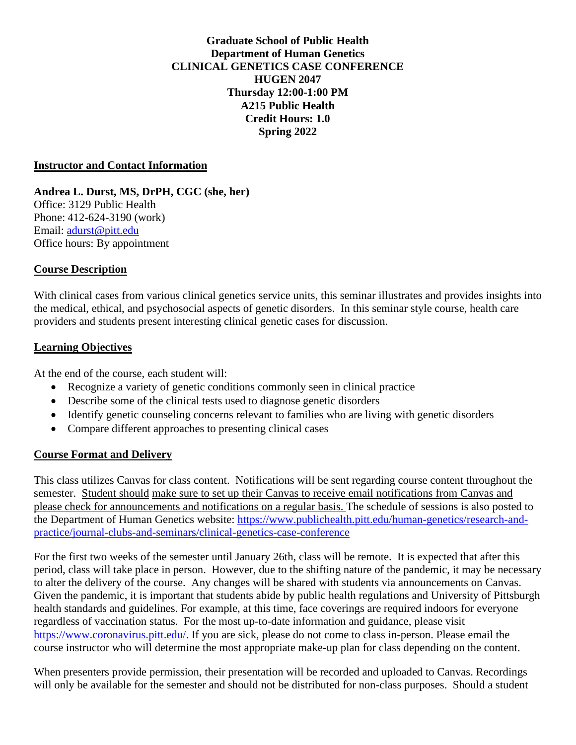## **Graduate School of Public Health Department of Human Genetics CLINICAL GENETICS CASE CONFERENCE HUGEN 2047 Thursday 12:00-1:00 PM A215 Public Health Credit Hours: 1.0 Spring 2022**

#### **Instructor and Contact Information**

**Andrea L. Durst, MS, DrPH, CGC (she, her)** Office: 3129 Public Health Phone: 412-624-3190 (work) Email: [adurst@pitt.edu](mailto:adurst@pitt.edu) Office hours: By appointment

#### **Course Description**

With clinical cases from various clinical genetics service units, this seminar illustrates and provides insights into the medical, ethical, and psychosocial aspects of genetic disorders. In this seminar style course, health care providers and students present interesting clinical genetic cases for discussion.

#### **Learning Objectives**

At the end of the course, each student will:

- Recognize a variety of genetic conditions commonly seen in clinical practice
- Describe some of the clinical tests used to diagnose genetic disorders
- Identify genetic counseling concerns relevant to families who are living with genetic disorders
- Compare different approaches to presenting clinical cases

#### **Course Format and Delivery**

This class utilizes Canvas for class content. Notifications will be sent regarding course content throughout the semester. Student should make sure to set up their Canvas to receive email notifications from Canvas and please check for announcements and notifications on a regular basis. The schedule of sessions is also posted to the Department of Human Genetics website: [https://www.publichealth.pitt.edu/human-genetics/research-and](https://www.publichealth.pitt.edu/human-genetics/research-and-practice/journal-clubs-and-seminars/clinical-genetics-case-conference)[practice/journal-clubs-and-seminars/clinical-genetics-case-conference](https://www.publichealth.pitt.edu/human-genetics/research-and-practice/journal-clubs-and-seminars/clinical-genetics-case-conference)

For the first two weeks of the semester until January 26th, class will be remote. It is expected that after this period, class will take place in person. However, due to the shifting nature of the pandemic, it may be necessary to alter the delivery of the course. Any changes will be shared with students via announcements on Canvas. Given the pandemic, it is important that students abide by public health regulations and University of Pittsburgh health standards and guidelines. For example, at this time, face coverings are required indoors for everyone regardless of vaccination status. For the most up-to-date information and guidance, please visit [https://www.coronavirus.pitt.edu/.](https://www.coronavirus.pitt.edu/) If you are sick, please do not come to class in-person. Please email the course instructor who will determine the most appropriate make-up plan for class depending on the content.

When presenters provide permission, their presentation will be recorded and uploaded to Canvas. Recordings will only be available for the semester and should not be distributed for non-class purposes. Should a student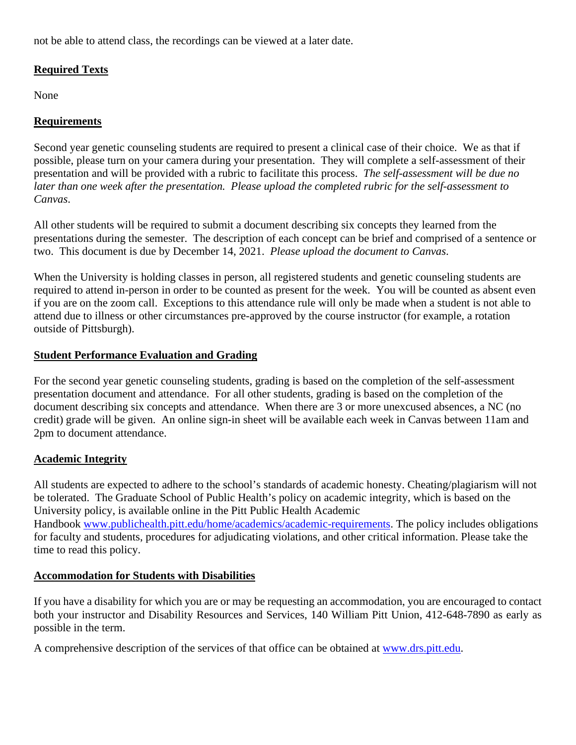not be able to attend class, the recordings can be viewed at a later date.

# **Required Texts**

None

## **Requirements**

Second year genetic counseling students are required to present a clinical case of their choice. We as that if possible, please turn on your camera during your presentation. They will complete a self-assessment of their presentation and will be provided with a rubric to facilitate this process. *The self-assessment will be due no later than one week after the presentation. Please upload the completed rubric for the self-assessment to Canvas*.

All other students will be required to submit a document describing six concepts they learned from the presentations during the semester. The description of each concept can be brief and comprised of a sentence or two. This document is due by December 14, 2021. *Please upload the document to Canvas*.

When the University is holding classes in person, all registered students and genetic counseling students are required to attend in-person in order to be counted as present for the week. You will be counted as absent even if you are on the zoom call. Exceptions to this attendance rule will only be made when a student is not able to attend due to illness or other circumstances pre-approved by the course instructor (for example, a rotation outside of Pittsburgh).

## **Student Performance Evaluation and Grading**

For the second year genetic counseling students, grading is based on the completion of the self-assessment presentation document and attendance. For all other students, grading is based on the completion of the document describing six concepts and attendance. When there are 3 or more unexcused absences, a NC (no credit) grade will be given. An online sign-in sheet will be available each week in Canvas between 11am and 2pm to document attendance.

## **Academic Integrity**

All students are expected to adhere to the school's standards of academic honesty. Cheating/plagiarism will not be tolerated. The Graduate School of Public Health's policy on academic integrity, which is based on the University policy, is available online in the Pitt Public Health Academic Handbook [www.publichealth.pitt.edu/home/academics/academic-requirements.](https://na01.safelinks.protection.outlook.com/?url=http%3A%2F%2Fwww.publichealth.pitt.edu%2Fhome%2Facademics%2Facademic-requirements&data=01%7C01%7CRobin.Leaf%40pitt.edu%7Cd2b682f8df1344a1488b08d5f7078713%7C9ef9f489e0a04eeb87cc3a526112fd0d%7C1&sdata=6ufA2nSlUetTPqxC3zE70WlE7mLMvNKznCNB7nQHwj0%3D&reserved=0) The policy includes obligations for faculty and students, procedures for adjudicating violations, and other critical information. Please take the time to read this policy.

## **Accommodation for Students with Disabilities**

If you have a disability for which you are or may be requesting an accommodation, you are encouraged to contact both your instructor and Disability Resources and Services, 140 William Pitt Union, 412-648-7890 as early as possible in the term.

A comprehensive description of the services of that office can be obtained at [www.drs.pitt.edu.](http://www.drs.pitt.edu/)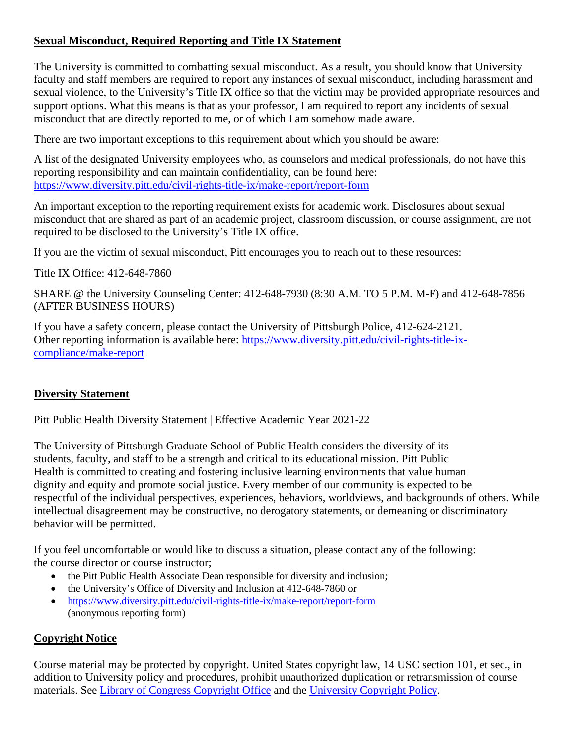# **Sexual Misconduct, Required Reporting and Title IX Statement**

The University is committed to combatting sexual misconduct. As a result, you should know that University faculty and staff members are required to report any instances of sexual misconduct, including harassment and sexual violence, to the University's Title IX office so that the victim may be provided appropriate resources and support options. What this means is that as your professor, I am required to report any incidents of sexual misconduct that are directly reported to me, or of which I am somehow made aware.

There are two important exceptions to this requirement about which you should be aware:

A list of the designated University employees who, as counselors and medical professionals, do not have this reporting responsibility and can maintain confidentiality, can be found here: <https://www.diversity.pitt.edu/civil-rights-title-ix/make-report/report-form>

An important exception to the reporting requirement exists for academic work. Disclosures about sexual misconduct that are shared as part of an academic project, classroom discussion, or course assignment, are not required to be disclosed to the University's Title IX office.

If you are the victim of sexual misconduct, Pitt encourages you to reach out to these resources:

Title IX Office: 412-648-7860

SHARE @ the University Counseling Center: 412-648-7930 (8:30 A.M. TO 5 P.M. M-F) and 412-648-7856 (AFTER BUSINESS HOURS)

If you have a safety concern, please contact the University of Pittsburgh Police, 412-624-2121. Other reporting information is available here: [https://www.diversity.pitt.edu/civil-rights-title-ix](https://www.diversity.pitt.edu/civil-rights-title-ix-compliance/make-report)[compliance/make-report](https://www.diversity.pitt.edu/civil-rights-title-ix-compliance/make-report)

# **Diversity Statement**

Pitt Public Health Diversity Statement | Effective Academic Year 2021‐22

The University of Pittsburgh Graduate School of Public Health considers the diversity of its students, faculty, and staff to be a strength and critical to its educational mission. Pitt Public Health is committed to creating and fostering inclusive learning environments that value human dignity and equity and promote social justice. Every member of our community is expected to be respectful of the individual perspectives, experiences, behaviors, worldviews, and backgrounds of others. While intellectual disagreement may be constructive, no derogatory statements, or demeaning or discriminatory behavior will be permitted.

If you feel uncomfortable or would like to discuss a situation, please contact any of the following: the course director or course instructor;

- the Pitt Public Health Associate Dean responsible for diversity and inclusion;
- the University's Office of Diversity and Inclusion at 412-648-7860 or
- <https://www.diversity.pitt.edu/civil-rights-title-ix/make-report/report-form> (anonymous reporting form)

# **Copyright Notice**

Course material may be protected by copyright. United States copyright law, 14 USC section 101, et sec., in addition to University policy and procedures, prohibit unauthorized duplication or retransmission of course materials. See [Library of Congress Copyright Office](http://www.copyright.gov/) and the [University Copyright Policy.](https://www.policy.pitt.edu/cs-03-copying-copyrighted-material-formerly-10-04-01)